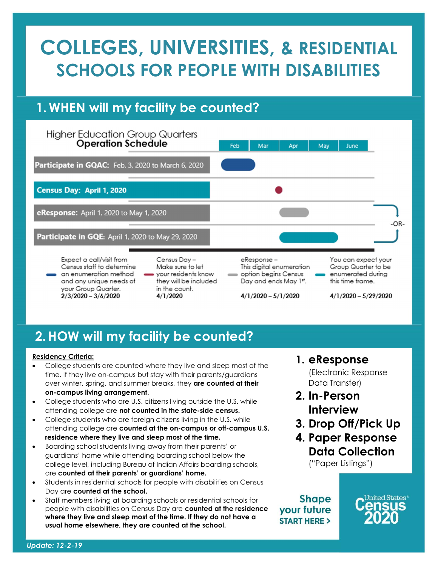## COLLEGES, UNIVERSITIES, & RESIDENTIAL SCHOOLS FOR PEOPLE WITH DISABILITIES

## 1. WHEN will my facility be counted?



## 2.HOW will my facility be counted?

#### Residency Criteria:

- College students are counted where they live and sleep most of the time. If they live on-campus but stay with their parents/guardians over winter, spring, and summer breaks, they are counted at their on-campus living arrangement.
- College students who are U.S. citizens living outside the U.S. while attending college are not counted in the state-side census.
- College students who are foreign citizens living in the U.S. while attending college are counted at the on-campus or off-campus U.S. residence where they live and sleep most of the time.
- Boarding school students living away from their parents' or guardians' home while attending boarding school below the college level, including Bureau of Indian Affairs boarding schools, are counted at their parents' or guardians' home.
- Students in residential schools for people with disabilities on Census Day are counted at the school.
- Staff members living at boarding schools or residential schools for people with disabilities on Census Day are counted at the residence where they live and sleep most of the time. If they do not have a usual home elsewhere, they are counted at the school.
- 1. eResponse (Electronic Response Data Transfer)
- 2. In-Person Interview
- 3. Drop Off/Pick Up
- 4. Paper Response Data Collection

("Paper Listings")

**Shape** your future **START HERE >**